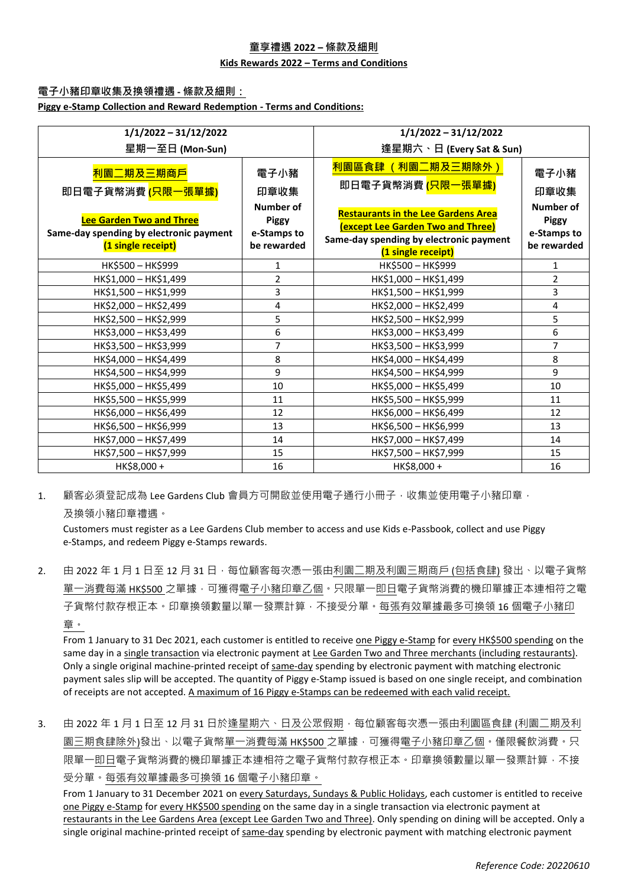### **童享禮遇 2022 – 條款及細則**

### **Kids Rewards 2022 – Terms and Conditions**

### **電子小豬印章收集及換領禮遇 - 條款及細則:**

**Piggy e-Stamp Collection and Reward Redemption - Terms and Conditions:**

| $1/1/2022 - 31/12/2022$                                                                          |                                                         | $1/1/2022 - 31/12/2022$                                                                                                                          |                                                         |
|--------------------------------------------------------------------------------------------------|---------------------------------------------------------|--------------------------------------------------------------------------------------------------------------------------------------------------|---------------------------------------------------------|
| 星期一至日 (Mon-Sun)                                                                                  |                                                         | 逢星期六、日 (Every Sat & Sun)                                                                                                                         |                                                         |
| 利園二期及三期商戶<br>即日電子貨幣消費 <mark>(只限一張單據)</mark>                                                      | 電子小豬<br>印章收集                                            | 利園區食肆 (利園二期及三期除外)<br>即日電子貨幣消費 (只限一張單據)                                                                                                           | 電子小豬<br>印章收集                                            |
| <b>Lee Garden Two and Three</b><br>Same-day spending by electronic payment<br>(1 single receipt) | Number of<br><b>Piggy</b><br>e-Stamps to<br>be rewarded | <b>Restaurants in the Lee Gardens Area</b><br>(except Lee Garden Two and Three)<br>Same-day spending by electronic payment<br>(1 single receipt) | Number of<br><b>Piggy</b><br>e-Stamps to<br>be rewarded |
| HK\$500 - HK\$999                                                                                | 1                                                       | HK\$500 - HK\$999                                                                                                                                | $\mathbf{1}$                                            |
| HK\$1,000 - HK\$1,499                                                                            | $\overline{2}$                                          | HK\$1,000 - HK\$1,499                                                                                                                            | $\overline{2}$                                          |
| HK\$1,500 - HK\$1,999                                                                            | 3                                                       | HK\$1,500 - HK\$1,999                                                                                                                            | 3                                                       |
| HK\$2,000 - HK\$2,499                                                                            | 4                                                       | HK\$2,000 - HK\$2,499                                                                                                                            | 4                                                       |
| HK\$2,500 - HK\$2,999                                                                            | 5                                                       | HK\$2,500 - HK\$2,999                                                                                                                            | 5                                                       |
| HK\$3,000 - HK\$3,499                                                                            | 6                                                       | HK\$3,000 - HK\$3,499                                                                                                                            | 6                                                       |
| HK\$3,500 - HK\$3,999                                                                            | $\overline{7}$                                          | HK\$3,500 - HK\$3,999                                                                                                                            | 7                                                       |
| HK\$4,000 - HK\$4,499                                                                            | 8                                                       | HK\$4,000 - HK\$4,499                                                                                                                            | 8                                                       |
| HK\$4,500 - HK\$4,999                                                                            | 9                                                       | HK\$4,500 - HK\$4,999                                                                                                                            | 9                                                       |
| HK\$5,000 - HK\$5,499                                                                            | 10                                                      | HK\$5,000 - HK\$5,499                                                                                                                            | 10                                                      |
| HK\$5,500 - HK\$5,999                                                                            | 11                                                      | HK\$5,500 - HK\$5,999                                                                                                                            | 11                                                      |
| HK\$6,000 - HK\$6,499                                                                            | 12                                                      | HK\$6,000 - HK\$6,499                                                                                                                            | 12                                                      |
| HK\$6,500 - HK\$6,999                                                                            | 13                                                      | HK\$6,500 - HK\$6,999                                                                                                                            | 13                                                      |
| HK\$7,000 - HK\$7,499                                                                            | 14                                                      | HK\$7,000 - HK\$7,499                                                                                                                            | 14                                                      |
| HK\$7,500 - HK\$7,999                                                                            | 15                                                      | HK\$7,500 - HK\$7,999                                                                                                                            | 15                                                      |
| HK\$8,000+                                                                                       | 16                                                      | HK\$8,000+                                                                                                                                       | 16                                                      |

1. 顧客必須登記成為 Lee Gardens Club 會員方可開啟並使用電子通行小冊子,收集並使用電子小豬印章, 及換領小豬印章禮遇。

Customers must register as a Lee Gardens Club member to access and use Kids e-Passbook, collect and use Piggy e-Stamps, and redeem Piggy e-Stamps rewards.

2. 由 2022 年 1 月 1 日至 12 月 31 日, 每位顧客每次憑一張由利園二期及利園三期商戶 (包括食肆) 發出、以電子貨幣 單一消費每滿 HK\$500 之單據,可獲得電子小豬印章乙個,只限單一即日電子貨幣消費的機印單據正本連相符之電 子貨幣付款存根正本。印章換領數量以單一發票計算,不接受分單。每張有效單據最多可換領 16 個電子小豬印 章。

From 1 January to 31 Dec 2021, each customer is entitled to receive one Piggy e-Stamp for every HK\$500 spending on the same day in a single transaction via electronic payment at Lee Garden Two and Three merchants (including restaurants). Only a single original machine-printed receipt of same-day spending by electronic payment with matching electronic payment sales slip will be accepted. The quantity of Piggy e-Stamp issued is based on one single receipt, and combination of receipts are not accepted. A maximum of 16 Piggy e-Stamps can be redeemed with each valid receipt.

3. 由 2022 年 1 月 1 日至 12 月 31 日於逢星期六、日及公眾假期 · 每位顧客每次憑一張由利園區食肆 (利園二期及利 園三期食肆除外)發出、以電子貨幣單一消費每滿 HK\$500 之單據,可獲得電子小豬印章乙個。僅限餐飲消費。只 限單一即日電子貨幣消費的機印單據正本連相符之電子貨幣付款存根正本。印章換領數量以單一發票計算,不接 受分單。每張有效單據最多可換領 16 個電子小豬印章。

From 1 January to 31 December 2021 on every Saturdays, Sundays & Public Holidays, each customer is entitled to receive one Piggy e-Stamp for every HK\$500 spending on the same day in a single transaction via electronic payment at restaurants in the Lee Gardens Area (except Lee Garden Two and Three). Only spending on dining will be accepted. Only a single original machine-printed receipt of same-day spending by electronic payment with matching electronic payment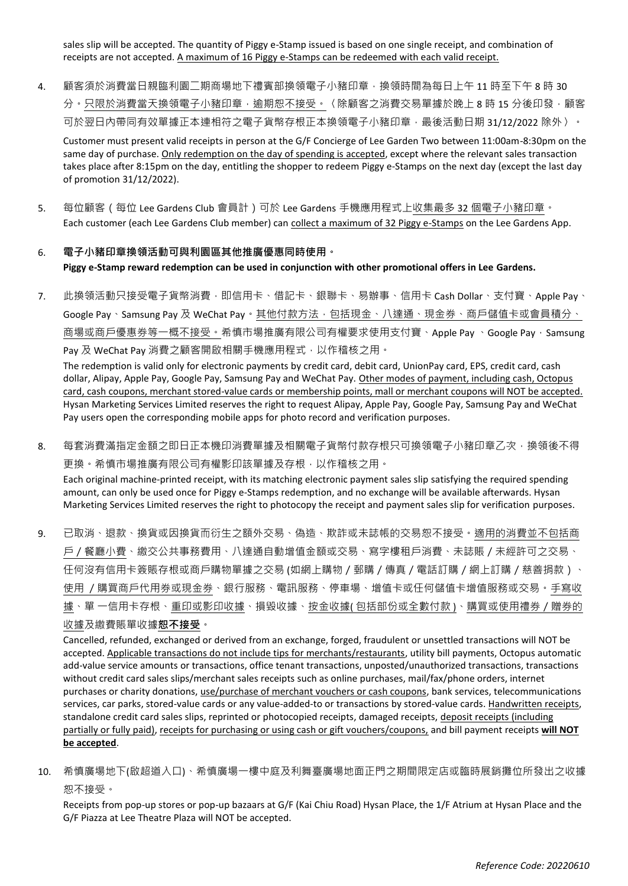sales slip will be accepted. The quantity of Piggy e-Stamp issued is based on one single receipt, and combination of receipts are not accepted. A maximum of 16 Piggy e-Stamps can be redeemed with each valid receipt.

4. 顧客須於消費當日親臨利園二期商場地下禮賓部換領電子小豬印章,換領時間為每日上午 11 時至下午 8 時 30 分。只限於消費當天換領電子小豬印章,逾期恕不接受。〈除顧客之消費交易單據於晚上 8 時 15 分後印發,顧客 可於翌日內帶同有效單據正本連相符之電子貨幣存根正本換領電子小豬印章,最後活動日期 31/12/2022 除外 〉。

Customer must present valid receipts in person at the G/F Concierge of Lee Garden Two between 11:00am-8:30pm on the same day of purchase. Only redemption on the day of spending is accepted, except where the relevant sales transaction takes place after 8:15pm on the day, entitling the shopper to redeem Piggy e-Stamps on the next day (except the last day of promotion 31/12/2022).

5. 每位顧客(每位 Lee Gardens Club 會員計)可於 Lee Gardens 手機應用程式上收集最多 32 個電子小豬印章。 Each customer (each Lee Gardens Club member) can collect a maximum of 32 Piggy e-Stamps on the Lee Gardens App.

# 6. **電子小豬印章換領活動可與利園區其他推廣優惠同時使用。 Piggy e-Stamp reward redemption can be used in conjunction with other promotional offers in Lee Gardens.**

7. 此換領活動只接受電子貨幣消費,即信用卡、借記卡、銀聯卡、易辦事、信用卡 Cash Dollar、支付寶、Apple Pay、 Google Pay、Samsung Pay 及 WeChat Pay。其他付款方法,包括現金、八達通、現金券、商戶儲值卡或會員積分、 商場或商戶優惠券等一概不接受。希慎市場推廣有限公司有權要求使用支付寶、Apple Pay、Google Pay, Samsung Pay 及 WeChat Pay 消費之顧客開啟相關手機應用程式,以作稽核之用。

The redemption is valid only for electronic payments by credit card, debit card, UnionPay card, EPS, credit card, cash dollar, Alipay, Apple Pay, Google Pay, Samsung Pay and WeChat Pay. Other modes of payment, including cash, Octopus card, cash coupons, merchant stored-value cards or membership points, mall or merchant coupons will NOT be accepted. Hysan Marketing Services Limited reserves the right to request Alipay, Apple Pay, Google Pay, Samsung Pay and WeChat Pay users open the corresponding mobile apps for photo record and verification purposes.

- 8. 每套消費滿指定金額之即日正本機印消費單據及相關電子貨幣付款存根只可換領電子小豬印章乙次,換領後不得 更換。希慎市場推廣有限公司有權影印該單據及存根,以作稽核之用。 Each original machine-printed receipt, with its matching electronic payment sales slip satisfying the required spending amount, can only be used once for Piggy e-Stamps redemption, and no exchange will be available afterwards. Hysan Marketing Services Limited reserves the right to photocopy the receipt and payment sales slip for verification purposes.
- 9. 已取消、退款、換貨或因換貨而衍生之額外交易、偽造、欺詐或未誌帳的交易恕不接受。適用的消費並不包括商 戶/餐廳小費、繳交公共事務費用、八達通自動增值金額或交易、寫字樓租戶消費、未誌賬/未經許可之交易、 任何沒有信用卡簽賬存根或商戶購物單據之交易 (如網上購物/郵購/傳真/電話訂購/網上訂購/慈善捐款)、 使用 /購買商戶代用券或現金券、銀行服務、電訊服務、停車場、增值卡或任何儲值卡增值服務或交易。手寫收 據、單 一信用卡存根、重印或影印收據、損毀收據、按金收據(包括部份或全數付款)、購買或使用禮券 / 贈券的 收據及繳費賬單收據**恕不接受**。

Cancelled, refunded, exchanged or derived from an exchange, forged, fraudulent or unsettled transactions will NOT be accepted. Applicable transactions do not include tips for merchants/restaurants, utility bill payments, Octopus automatic add-value service amounts or transactions, office tenant transactions, unposted/unauthorized transactions, transactions without credit card sales slips/merchant sales receipts such as online purchases, mail/fax/phone orders, internet purchases or charity donations, use/purchase of merchant vouchers or cash coupons, bank services, telecommunications services, car parks, stored-value cards or any value-added-to or transactions by stored-value cards. Handwritten receipts, standalone credit card sales slips, reprinted or photocopied receipts, damaged receipts, deposit receipts (including partially or fully paid), receipts for purchasing or using cash or gift vouchers/coupons, and bill payment receipts **will NOT be accepted**.

10. 希慎廣場地下(啟超道入口)、希慎廣場一樓中庭及利舞臺廣場地面正門之期間限定店或臨時展銷攤位所發出之收據 恕不接受。

Receipts from pop-up stores or pop-up bazaars at G/F (Kai Chiu Road) Hysan Place, the 1/F Atrium at Hysan Place and the G/F Piazza at Lee Theatre Plaza will NOT be accepted.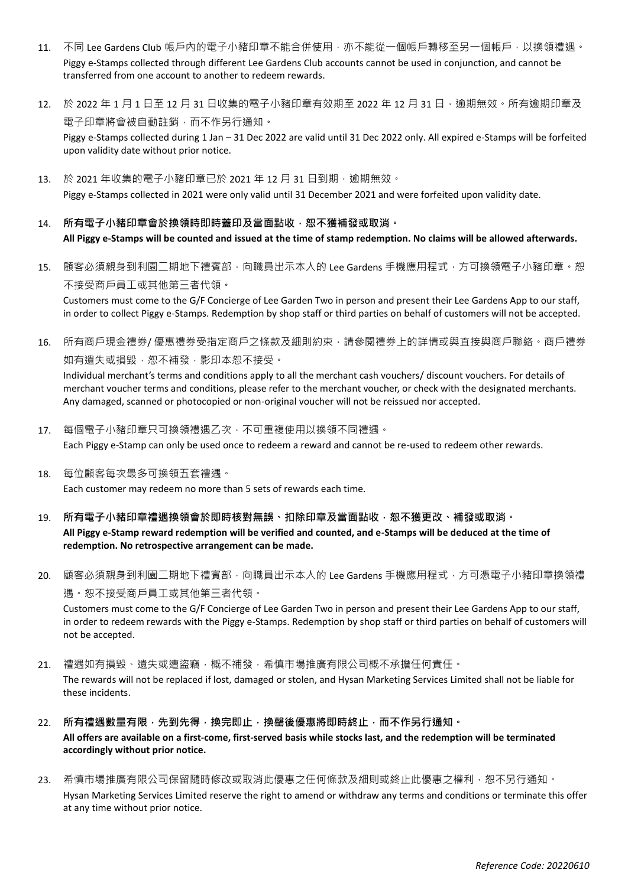- 11. 不同 Lee Gardens Club 帳戶內的電子小豬印章不能合併使用,亦不能從一個帳戶轉移至另一個帳戶,以換領禮遇。 Piggy e-Stamps collected through different Lee Gardens Club accounts cannot be used in conjunction, and cannot be transferred from one account to another to redeem rewards.
- 12. 於 2022 年 1 月 1 日至 12 月 31 日收集的電子小豬印章有效期至 2022 年 12 月 31 日, 逾期無效。所有逾期印章及 電子印章將會被自動註銷,而不作另行通知。 Piggy e-Stamps collected during 1 Jan – 31 Dec 2022 are valid until 31 Dec 2022 only. All expired e-Stamps will be forfeited upon validity date without prior notice.
- 13. 於 2021 年收集的電子小豬印章已於 2021 年 12 月 31 日到期, 逾期無效。 Piggy e-Stamps collected in 2021 were only valid until 31 December 2021 and were forfeited upon validity date.
- 14. 所有電子小豬印章會於換領時即時蓋印及當面點收,恕不獲補發或取消。 **All Piggy e-Stamps will be counted and issued at the time of stamp redemption. No claims will be allowed afterwards.**
- 15. 顧客必須親身到利園二期地下禮賓部,向職員出示本人的 Lee Gardens 手機應用程式,方可換領電子小豬印章。恕 不接受商戶員工或其他第三者代領。

Customers must come to the G/F Concierge of Lee Garden Two in person and present their Lee Gardens App to our staff, in order to collect Piggy e-Stamps. Redemption by shop staff or third parties on behalf of customers will not be accepted.

16. 所有商戶現金禮券/ 優惠禮券受指定商戶之條款及細則約束,請參閱禮券上的詳情或與直接與商戶聯絡。商戶禮券 如有遺失或損毀,恕不補發,影印本恕不接受。

Individual merchant's terms and conditions apply to all the merchant cash vouchers/ discount vouchers. For details of merchant voucher terms and conditions, please refer to the merchant voucher, or check with the designated merchants. Any damaged, scanned or photocopied or non-original voucher will not be reissued nor accepted.

- 17. 每個電子小豬印章只可換領禮遇乙次,不可重複使用以換領不同禮遇。 Each Piggy e-Stamp can only be used once to redeem a reward and cannot be re-used to redeem other rewards.
- 18. 每位顧客每次最多可換領五套禮遇。 Each customer may redeem no more than 5 sets of rewards each time.
- 19. 所有電子小豬印章禮遇換領會於即時核對無誤、扣除印章及當面點收,恕不獲更改、補發或取消。 **All Piggy e-Stamp reward redemption will be verified and counted, and e-Stamps will be deduced at the time of redemption. No retrospective arrangement can be made.**
- 20. 顧客必須親身到利園二期地下禮賓部,向職員出示本人的 Lee Gardens 手機應用程式,方可憑電子小豬印章換領禮 遇。恕不接受商戶員工或其他第三者代領。

Customers must come to the G/F Concierge of Lee Garden Two in person and present their Lee Gardens App to our staff, in order to redeem rewards with the Piggy e-Stamps. Redemption by shop staff or third parties on behalf of customers will not be accepted.

- 21. 禮遇如有損毀、遺失或遭盜竊,概不補發,希慎市場推廣有限公司概不承擔任何責任。 The rewards will not be replaced if lost, damaged or stolen, and Hysan Marketing Services Limited shall not be liable for these incidents.
- 22. **所有禮遇數量有限,先到先得,換完即止,換罄後優惠將即時終止,而不作另行通知。 All offers are available on a first-come, first-served basis while stocks last, and the redemption will be terminated accordingly without prior notice.**
- 23. 希慎市場推廣有限公司保留隨時修改或取消此優惠之任何條款及細則或終止此優惠之權利,恕不另行通知。 Hysan Marketing Services Limited reserve the right to amend or withdraw any terms and conditions or terminate this offer at any time without prior notice.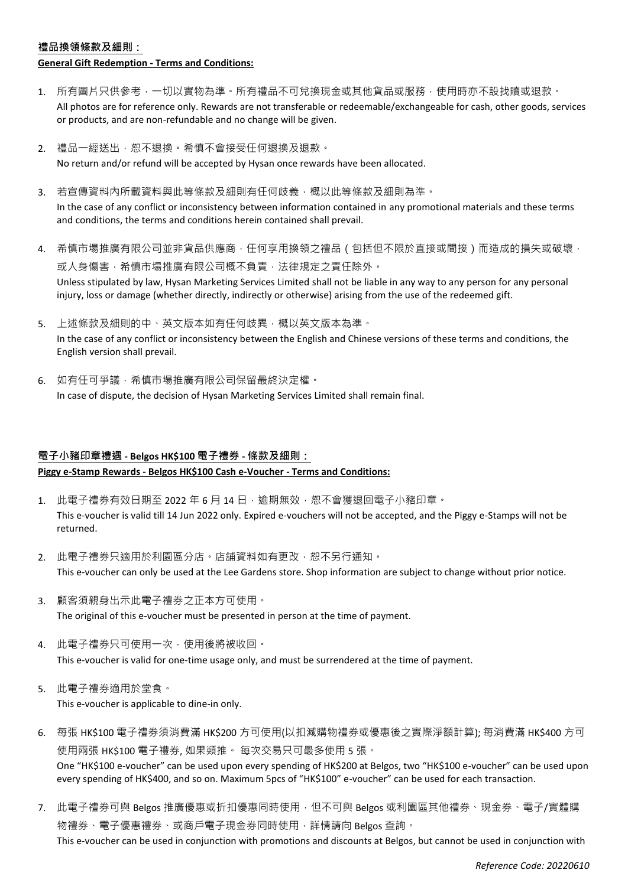#### **禮品換領條款及細則:**

#### **General Gift Redemption - Terms and Conditions:**

- 1. 所有圖片只供參考,一切以實物為準。所有禮品不可兌換現金或其他貨品或服務,使用時亦不設找贖或退款。 All photos are for reference only. Rewards are not transferable or redeemable/exchangeable for cash, other goods, services or products, and are non-refundable and no change will be given.
- 2. 禮品一經送出,恕不退換。希慎不會接受任何退換及退款。 No return and/or refund will be accepted by Hysan once rewards have been allocated.
- 3. 若宣傳資料內所載資料與此等條款及細則有任何歧義,概以此等條款及細則為準。 In the case of any conflict or inconsistency between information contained in any promotional materials and these terms and conditions, the terms and conditions herein contained shall prevail.
- 4. 希慎市場推廣有限公司並非貨品供應商,任何享用換領之禮品 (包括但不限於直接或間接)而造成的損失或破壞, 或人身傷害,希慎市場推廣有限公司概不負責,法律規定之責任除外。 Unless stipulated by law, Hysan Marketing Services Limited shall not be liable in any way to any person for any personal injury, loss or damage (whether directly, indirectly or otherwise) arising from the use of the redeemed gift.
- 5. 上述條款及細則的中、英文版本如有任何歧異,概以英文版本為準。 In the case of any conflict or inconsistency between the English and Chinese versions of these terms and conditions, the English version shall prevail.
- 6. 如有任可爭議,希慎市場推廣有限公司保留最終決定權。 In case of dispute, the decision of Hysan Marketing Services Limited shall remain final.

## **電子小豬印章禮遇 - Belgos HK\$100 電子禮券 - 條款及細則: Piggy e-Stamp Rewards - Belgos HK\$100 Cash e-Voucher - Terms and Conditions:**

- 1. 此電子禮券有效日期至 2022 年 6 月 14 日, 逾期無效,恕不會獲退回電子小豬印章。 This e-voucher is valid till 14 Jun 2022 only. Expired e-vouchers will not be accepted, and the Piggy e-Stamps will not be returned.
- 2. 此電子禮券只適用於利園區分店。店舖資料如有更改,恕不另行通知。 This e-voucher can only be used at the Lee Gardens store. Shop information are subject to change without prior notice.
- 3. 顧客須親身出示此電子禮券之正本方可使用。 The original of this e-voucher must be presented in person at the time of payment.
- 4. 此電子禮券只可使用一次,使用後將被收回。 This e-voucher is valid for one-time usage only, and must be surrendered at the time of payment.
- 5. 此電子禮券適用於堂食。 This e-voucher is applicable to dine-in only.
- 6. 每張 HK\$100 電子禮券須消費滿 HK\$200 方可使用(以扣減購物禮券或優惠後之實際淨額計算); 每消費滿 HK\$400 方可 使用兩張 HK\$100 電子禮券, 如果類推。 每次交易只可最多使用 5 張。 One "HK\$100 e-voucher" can be used upon every spending of HK\$200 at Belgos, two "HK\$100 e-voucher" can be used upon every spending of HK\$400, and so on. Maximum 5pcs of "HK\$100" e-voucher" can be used for each transaction.
- 7. 此電子禮券可與 Belgos 推廣優惠或折扣優惠同時使用,但不可與 Belgos 或利園區其他禮券、現金券、電子/實體購 物禮券、電子優惠禮券、或商戶電子現金券同時使用,詳情請向 Belgos 查詢。 This e-voucher can be used in conjunction with promotions and discounts at Belgos, but cannot be used in conjunction with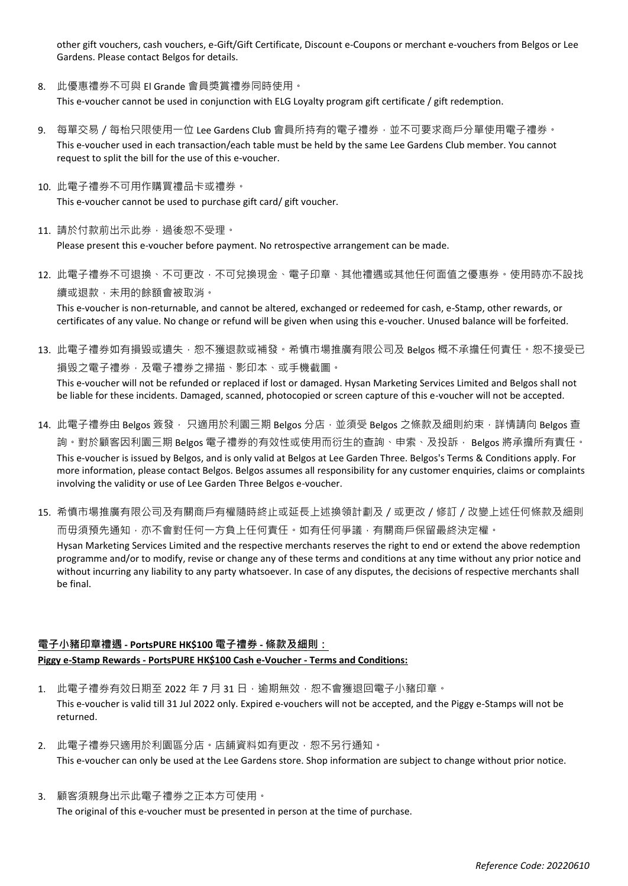other gift vouchers, cash vouchers, e-Gift/Gift Certificate, Discount e-Coupons or merchant e-vouchers from Belgos or Lee Gardens. Please contact Belgos for details.

- 8. 此優惠禮券不可與 El Grande 會員獎賞禮券同時使用。 This e-voucher cannot be used in conjunction with ELG Loyalty program gift certificate / gift redemption.
- 9. 每單交易 / 每枱只限使用一位 Lee Gardens Club 會員所持有的電子禮券,並不可要求商戶分單使用電子禮券。 This e-voucher used in each transaction/each table must be held by the same Lee Gardens Club member. You cannot request to split the bill for the use of this e-voucher.
- 10. 此電子禮券不可用作購買禮品卡或禮券。

This e-voucher cannot be used to purchase gift card/ gift voucher.

11. 請於付款前出示此券, 過後恕不受理。

Please present this e-voucher before payment. No retrospective arrangement can be made.

12. 此電子禮券不可退換、不可更改,不可兌換現金、電子印章、其他禮遇或其他任何面值之優惠券。使用時亦不設找 續或退款,未用的餘額會被取消。

This e-voucher is non-returnable, and cannot be altered, exchanged or redeemed for cash, e-Stamp, other rewards, or certificates of any value. No change or refund will be given when using this e-voucher. Unused balance will be forfeited.

13. 此電子禮券如有損毀或遺失,恕不獲退款或補發。希慎市場推廣有限公司及 Belgos 概不承擔任何責任。恕不接受已 損毁之電子禮券,及電子禮券之掃描、影印本、或手機截圖。 This e-voucher will not be refunded or replaced if lost or damaged. Hysan Marketing Services Limited and Belgos shall not

be liable for these incidents. Damaged, scanned, photocopied or screen capture of this e-voucher will not be accepted.

- 14. 此電子禮券由 Belgos 簽發, 只適用於利園三期 Belgos 分店,並須受 Belgos 之條款及細則約束,詳情請向 Belgos 查 詢。對於顧客因利園三期 Belgos 電子禮券的有效性或使用而衍生的查詢、申索、及投訴, Belgos 將承擔所有責任。 This e-voucher is issued by Belgos, and is only valid at Belgos at Lee Garden Three. Belgos's Terms & Conditions apply. For more information, please contact Belgos. Belgos assumes all responsibility for any customer enquiries, claims or complaints involving the validity or use of Lee Garden Three Belgos e-voucher.
- 15. 希慎市場推廣有限公司及有關商戶有權隨時終止或延長上述換領計劃及/或更改/修訂/改變上述任何條款及細則 而毋須預先通知,亦不會對任何一方負上任何責任。如有任何爭議,有關商戶保留最終決定權。

Hysan Marketing Services Limited and the respective merchants reserves the right to end or extend the above redemption programme and/or to modify, revise or change any of these terms and conditions at any time without any prior notice and without incurring any liability to any party whatsoever. In case of any disputes, the decisions of respective merchants shall be final.

### **電子小豬印章禮遇 - PortsPURE HK\$100 電子禮券 - 條款及細則: Piggy e-Stamp Rewards - PortsPURE HK\$100 Cash e-Voucher - Terms and Conditions:**

- 1. 此電子禮券有效日期至 2022 年 7 月 31 日, 逾期無效, 恕不會獲退回電子小豬印章。 This e-voucher is valid till 31 Jul 2022 only. Expired e-vouchers will not be accepted, and the Piggy e-Stamps will not be returned.
- 2. 此電子禮券只適用於利園區分店。店舖資料如有更改,恕不另行通知。 This e-voucher can only be used at the Lee Gardens store. Shop information are subject to change without prior notice.
- 3. 顧客須親身出示此電子禮券之正本方可使用。 The original of this e-voucher must be presented in person at the time of purchase.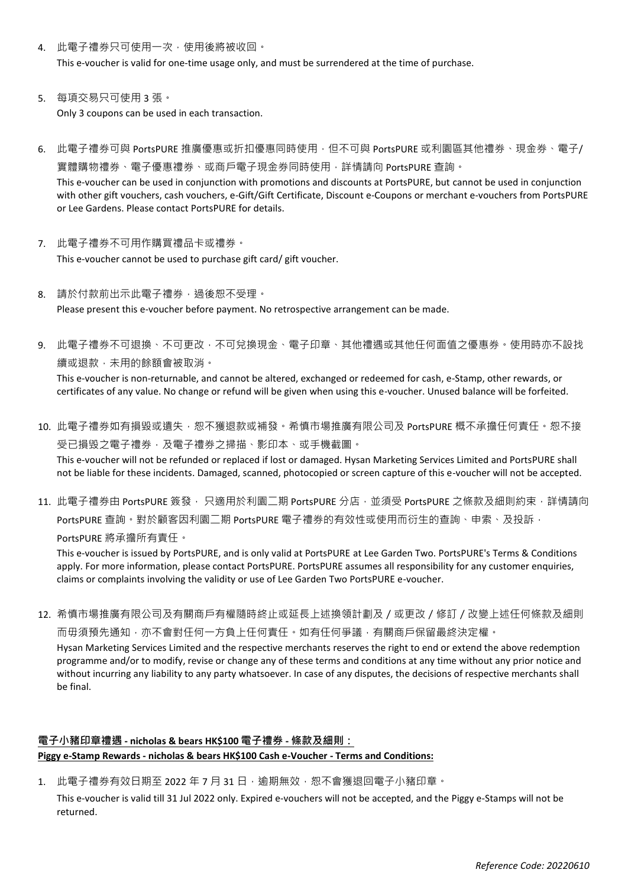- 4. 此電子禮券只可使用一次,使用後將被收回。 This e-voucher is valid for one-time usage only, and must be surrendered at the time of purchase.
- 5. 每項交易只可使用 3 張。 Only 3 coupons can be used in each transaction.
- 6. 此電子禮券可與 PortsPURE 推廣優惠或折扣優惠同時使用,但不可與 PortsPURE 或利園區其他禮券、現金券、電子/ 實體購物禮券、電子優惠禮券、或商戶電子現金券同時使用,詳情請向 PortsPURE 查詢。 This e-voucher can be used in conjunction with promotions and discounts at PortsPURE, but cannot be used in conjunction with other gift vouchers, cash vouchers, e-Gift/Gift Certificate, Discount e-Coupons or merchant e-vouchers from PortsPURE or Lee Gardens. Please contact PortsPURE for details.
- 7. 此電子禮券不可用作購買禮品卡或禮券。 This e-voucher cannot be used to purchase gift card/ gift voucher.
- 8. 請於付款前出示此電子禮券,過後恕不受理。 Please present this e-voucher before payment. No retrospective arrangement can be made.
- 9. 此電子禮券不可退換、不可更改,不可兌換現金、電子印章、其他禮遇或其他任何面值之優惠券。使用時亦不設找 續或退款,未用的餘額會被取消。

This e-voucher is non-returnable, and cannot be altered, exchanged or redeemed for cash, e-Stamp, other rewards, or certificates of any value. No change or refund will be given when using this e-voucher. Unused balance will be forfeited.

- 10. 此電子禮券如有損毀或遺失,怼不獲退款或補發。希慎市場推廣有限公司及 PortsPURE 概不承擔任何責任。恕不接 受已損毁之電子禮券,及電子禮券之掃描、影印本、或手機截圖。 This e-voucher will not be refunded or replaced if lost or damaged. Hysan Marketing Services Limited and PortsPURE shall not be liable for these incidents. Damaged, scanned, photocopied or screen capture of this e-voucher will not be accepted.
- 11. 此電子禮券由 PortsPURE 簽發, 只適用於利園二期 PortsPURE 分店,並須受 PortsPURE 之條款及細則約束,詳情請向 PortsPURE 查詢。對於顧客因利園二期 PortsPURE 電子禮券的有效性或使用而衍生的查詢、申索、及投訴,

PortsPURE 將承擔所有責任。

This e-voucher is issued by PortsPURE, and is only valid at PortsPURE at Lee Garden Two. PortsPURE's Terms & Conditions apply. For more information, please contact PortsPURE. PortsPURE assumes all responsibility for any customer enquiries, claims or complaints involving the validity or use of Lee Garden Two PortsPURE e-voucher.

12. 希慎市場推廣有限公司及有關商戶有權隨時終止或延長上述換領計劃及/或更改/修訂/改變上述任何條款及細則 而毋須預先通知,亦不會對任何一方負上任何責任。如有任何爭議,有關商戶保留最終決定權。

Hysan Marketing Services Limited and the respective merchants reserves the right to end or extend the above redemption programme and/or to modify, revise or change any of these terms and conditions at any time without any prior notice and without incurring any liability to any party whatsoever. In case of any disputes, the decisions of respective merchants shall be final.

## **電子小豬印章禮遇 - nicholas & bears HK\$100 電子禮券 - 條款及細則: Piggy e-Stamp Rewards - nicholas & bears HK\$100 Cash e-Voucher - Terms and Conditions:**

1. 此電子禮券有效日期至 2022 年 7 月 31 日, 逾期無效, 恕不會獲退回電子小豬印章。

This e-voucher is valid till 31 Jul 2022 only. Expired e-vouchers will not be accepted, and the Piggy e-Stamps will not be returned.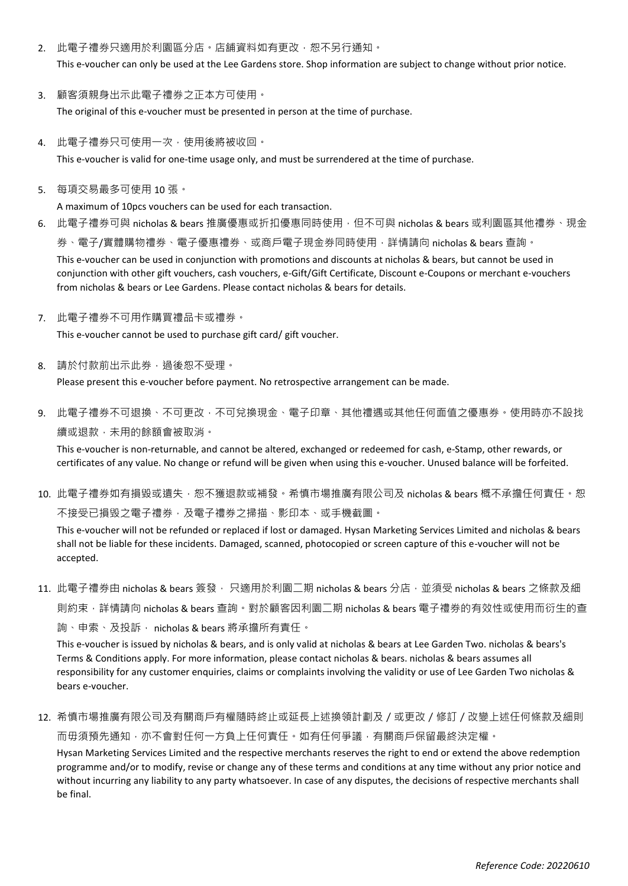- 2. 此電子禮券只適用於利園區分店。店舖資料如有更改,恕不另行通知。 This e-voucher can only be used at the Lee Gardens store. Shop information are subject to change without prior notice.
- 3. 顧客須親身出示此電子禮券之正本方可使用。 The original of this e-voucher must be presented in person at the time of purchase.
- 4. 此電子禮券只可使用一次,使用後將被收回。 This e-voucher is valid for one-time usage only, and must be surrendered at the time of purchase.
- 5. 每項交易最多可使用 10 張。

A maximum of 10pcs vouchers can be used for each transaction.

- 6. 此電子禮券可與 nicholas & bears 推廣優惠或折扣優惠同時使用,但不可與 nicholas & bears 或利園區其他禮券、現金 券、電子/實體購物禮券、電子優惠禮券、或商戶電子現金券同時使用,詳情請向 nicholas & bears 查詢。 This e-voucher can be used in conjunction with promotions and discounts at nicholas & bears, but cannot be used in conjunction with other gift vouchers, cash vouchers, e-Gift/Gift Certificate, Discount e-Coupons or merchant e-vouchers from nicholas & bears or Lee Gardens. Please contact nicholas & bears for details.
- 7. 此電子禮券不可用作購買禮品卡或禮券。

This e-voucher cannot be used to purchase gift card/ gift voucher.

- 8. 請於付款前出示此券,過後恕不受理。 Please present this e-voucher before payment. No retrospective arrangement can be made.
- 9. 此電子禮券不可退換、不可更改,不可兌換現金、電子印章、其他禮遇或其他任何面值之優惠券。使用時亦不設找 續或退款,未用的餘額會被取消。

This e-voucher is non-returnable, and cannot be altered, exchanged or redeemed for cash, e-Stamp, other rewards, or certificates of any value. No change or refund will be given when using this e-voucher. Unused balance will be forfeited.

10. 此電子禮券如有損毀或遺失,恕不獲退款或補發。希慎市場推廣有限公司及 nicholas & bears 概不承擔任何責任。恕 不接受已損毁之電子禮券,及電子禮券之掃描、影印本、或手機截圖。

This e-voucher will not be refunded or replaced if lost or damaged. Hysan Marketing Services Limited and nicholas & bears shall not be liable for these incidents. Damaged, scanned, photocopied or screen capture of this e-voucher will not be accepted.

11. 此電子禮券由 nicholas & bears 簽發, 只適用於利園ニ期 nicholas & bears 分店,並須受 nicholas & bears 之條款及細 則約束,詳情請向 nicholas & bears 查詢。對於顧客因利園二期 nicholas & bears 電子禮券的有效性或使用而衍生的查

詢、申索、及投訴, nicholas & bears 將承擔所有責任。 This e-voucher is issued by nicholas & bears, and is only valid at nicholas & bears at Lee Garden Two. nicholas & bears's Terms & Conditions apply. For more information, please contact nicholas & bears. nicholas & bears assumes all responsibility for any customer enquiries, claims or complaints involving the validity or use of Lee Garden Two nicholas & bears e-voucher.

12. 希慎市場推廣有限公司及有關商戶有權隨時終止或延長上述換領計劃及/或更改/修訂/改變上述任何條款及細則

而毋須預先通知,亦不會對任何一方負上任何責任。如有任何爭議,有關商戶保留最終決定權。

Hysan Marketing Services Limited and the respective merchants reserves the right to end or extend the above redemption programme and/or to modify, revise or change any of these terms and conditions at any time without any prior notice and without incurring any liability to any party whatsoever. In case of any disputes, the decisions of respective merchants shall be final.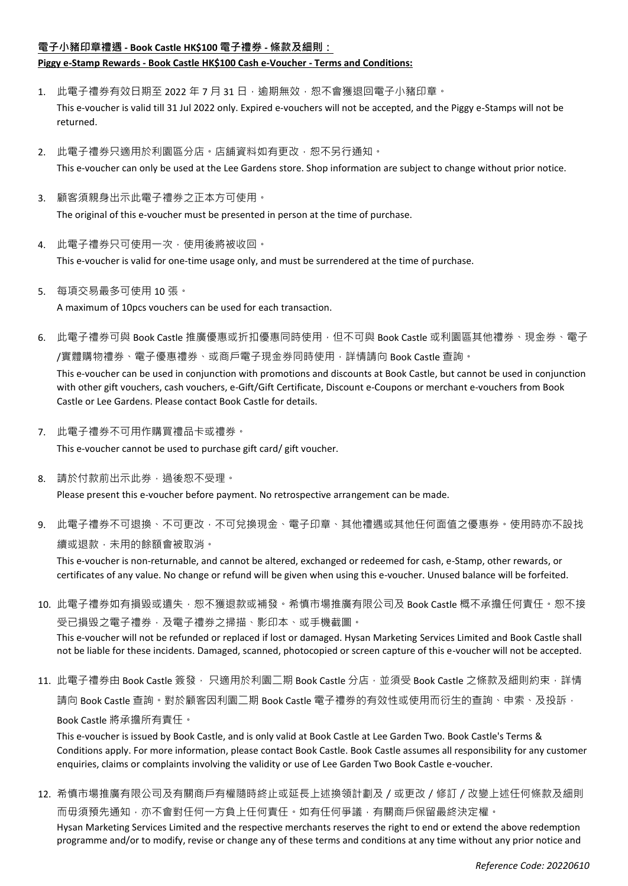#### **電子小豬印章禮遇 - Book Castle HK\$100 電子禮券 - 條款及細則:**

### **Piggy e-Stamp Rewards - Book Castle HK\$100 Cash e-Voucher - Terms and Conditions:**

- 1. 此電子禮券有效日期至 2022 年 7 月 31 日,逾期無效,恕不會獲退回電子小豬印章。 This e-voucher is valid till 31 Jul 2022 only. Expired e-vouchers will not be accepted, and the Piggy e-Stamps will not be returned.
- 2. 此電子禮券只適用於利園區分店。店舖資料如有更改,恕不另行通知。 This e-voucher can only be used at the Lee Gardens store. Shop information are subject to change without prior notice.
- 3. 顧客須親身出示此電子禮券之正本方可使用。 The original of this e-voucher must be presented in person at the time of purchase.
- 4. 此電子禮券只可使用一次,使用後將被收回。 This e-voucher is valid for one-time usage only, and must be surrendered at the time of purchase.
- 5. 每項交易最多可使用 10 張。 A maximum of 10pcs vouchers can be used for each transaction.
- 6. 此電子禮券可與 Book Castle 推廣優惠或折扣優惠同時使用,但不可與 Book Castle 或利園區其他禮券、現金券、電子 /實體購物禮券、電子優惠禮券、或商戶電子現金券同時使用,詳情請向 Book Castle 查詢。

This e-voucher can be used in conjunction with promotions and discounts at Book Castle, but cannot be used in conjunction with other gift vouchers, cash vouchers, e-Gift/Gift Certificate, Discount e-Coupons or merchant e-vouchers from Book Castle or Lee Gardens. Please contact Book Castle for details.

7. 此電子禮券不可用作購買禮品卡或禮券。

This e-voucher cannot be used to purchase gift card/ gift voucher.

8. 請於付款前出示此券,過後恕不受理。

Please present this e-voucher before payment. No retrospective arrangement can be made.

9. 此電子禮券不可退換、不可更改,不可兌換現金、電子印章、其他禮遇或其他任何面值之優惠券。使用時亦不設找 續或退款,未用的餘額會被取消。

This e-voucher is non-returnable, and cannot be altered, exchanged or redeemed for cash, e-Stamp, other rewards, or certificates of any value. No change or refund will be given when using this e-voucher. Unused balance will be forfeited.

- 10. 此電子禮券如有損毀或遺失,恕不獲退款或補發。希慎市場推廣有限公司及 Book Castle 概不承擔任何責任。恕不接 受已損毁之電子禮券,及電子禮券之掃描、影印本、或手機截圖。 This e-voucher will not be refunded or replaced if lost or damaged. Hysan Marketing Services Limited and Book Castle shall not be liable for these incidents. Damaged, scanned, photocopied or screen capture of this e-voucher will not be accepted.
- 11. 此電子禮券由 Book Castle 簽發, 只適用於利園ニ期 Book Castle 分店,並須受 Book Castle 之條款及細則約束,詳情 請向 Book Castle 查詢。對於顧客因利園二期 Book Castle 電子禮券的有效性或使用而衍生的查詢、申索、及投訴, Book Castle 將承擔所有責任。

This e-voucher is issued by Book Castle, and is only valid at Book Castle at Lee Garden Two. Book Castle's Terms & Conditions apply. For more information, please contact Book Castle. Book Castle assumes all responsibility for any customer enquiries, claims or complaints involving the validity or use of Lee Garden Two Book Castle e-voucher.

12. 希慎市場推廣有限公司及有關商戶有權隨時終止或延長上述換領計劃及/或更改/修訂/改變上述任何條款及細則 而毋須預先通知,亦不會對任何一方負上任何責任。如有任何爭議,有關商戶保留最終決定權。 Hysan Marketing Services Limited and the respective merchants reserves the right to end or extend the above redemption programme and/or to modify, revise or change any of these terms and conditions at any time without any prior notice and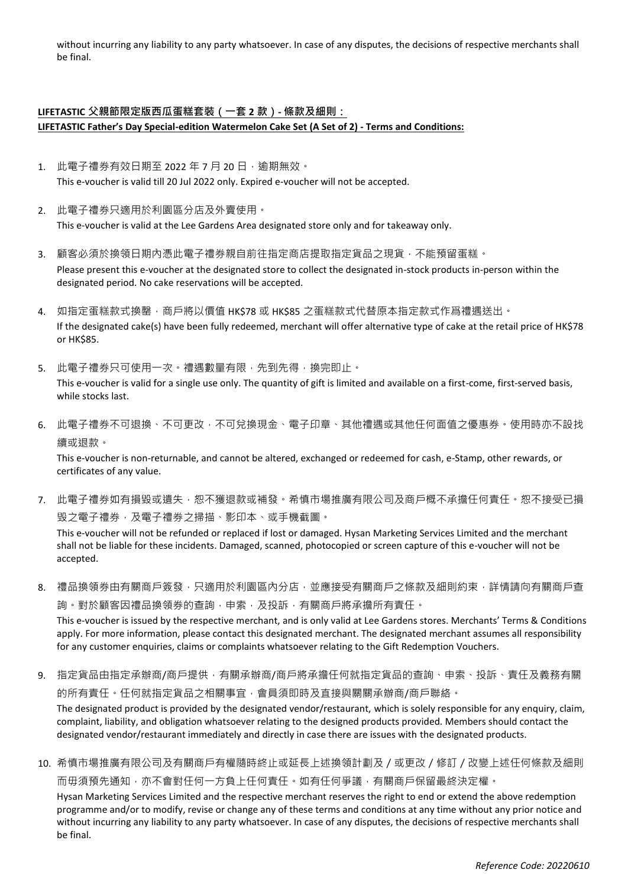without incurring any liability to any party whatsoever. In case of any disputes, the decisions of respective merchants shall be final.

### **LIFETASTIC 父親節限定版西瓜蛋糕套裝(一套 2 款)- 條款及細則: LIFETASTIC Father's Day Special-edition Watermelon Cake Set (A Set of 2) - Terms and Conditions:**

- 1. 此電子禮券有效日期至 2022 年 7 月 20 日, 逾期無效。 This e-voucher is valid till 20 Jul 2022 only. Expired e-voucher will not be accepted.
- 2. 此電子禮券只適用於利園區分店及外賣使用。 This e-voucher is valid at the Lee Gardens Area designated store only and for takeaway only.
- 3. 顧客必須於換領日期內憑此電子禮券親自前往指定商店提取指定貨品之現貨,不能預留蛋糕。 Please present this e-voucher at the designated store to collect the designated in-stock products in-person within the designated period. No cake reservations will be accepted.
- 4. 如指定蛋糕款式换罄,商戶將以價值 HK\$78 或 HK\$85 之蛋糕款式代替原本指定款式作爲禮遇送出。 If the designated cake(s) have been fully redeemed, merchant will offer alternative type of cake at the retail price of HK\$78 or HK\$85.
- 5. 此電子禮券只可使用一次。禮遇數量有限,先到先得,換完即止。 This e-voucher is valid for a single use only. The quantity of gift is limited and available on a first-come, first-served basis, while stocks last.
- 6. 此電子禮券不可退換、不可更改,不可兌換現金、電子印章、其他禮遇或其他任何面值之優惠券。使用時亦不設找 續或退款。

This e-voucher is non-returnable, and cannot be altered, exchanged or redeemed for cash, e-Stamp, other rewards, or certificates of any value.

7. 此電子禮券如有損毀或遺失,恕不獲退款或補發。希慎市場推廣有限公司及商戶概不承擔任何責任。恕不接受已損 毁之電子禮券,及電子禮券之掃描、影印本、或手機截圖。

This e-voucher will not be refunded or replaced if lost or damaged. Hysan Marketing Services Limited and the merchant shall not be liable for these incidents. Damaged, scanned, photocopied or screen capture of this e-voucher will not be accepted.

8. 禮品換領券由有關商戶簽發,只適用於利園區內分店,並應接受有關商戶之條款及細則約束,詳情請向有關商戶查 詢。對於顧客因禮品換領券的查詢,申索,及投訴,有關商戶將承擔所有責任。

This e-voucher is issued by the respective merchant, and is only valid at Lee Gardens stores. Merchants' Terms & Conditions apply. For more information, please contact this designated merchant. The designated merchant assumes all responsibility for any customer enquiries, claims or complaints whatsoever relating to the Gift Redemption Vouchers.

9. 指定貨品由指定承辦商/商戶提供,有關承辦商/商戶將承擔任何就指定貨品的查詢、申索、投訴、責任及義務有關 的所有責任。任何就指定貨品之相關事宜﹐會員須即時及直接與關關承辦商/商戶聯絡。

The designated product is provided by the designated vendor/restaurant, which is solely responsible for any enquiry, claim, complaint, liability, and obligation whatsoever relating to the designed products provided. Members should contact the designated vendor/restaurant immediately and directly in case there are issues with the designated products.

10. 希慎市場推廣有限公司及有關商戶有權隨時終止或延長上述換領計劃及/或更改/修訂/改變上述任何條款及細則 而毋須預先通知,亦不會對任何一方負上任何責任。如有任何爭議,有關商戶保留最終決定權。

Hysan Marketing Services Limited and the respective merchant reserves the right to end or extend the above redemption programme and/or to modify, revise or change any of these terms and conditions at any time without any prior notice and without incurring any liability to any party whatsoever. In case of any disputes, the decisions of respective merchants shall be final.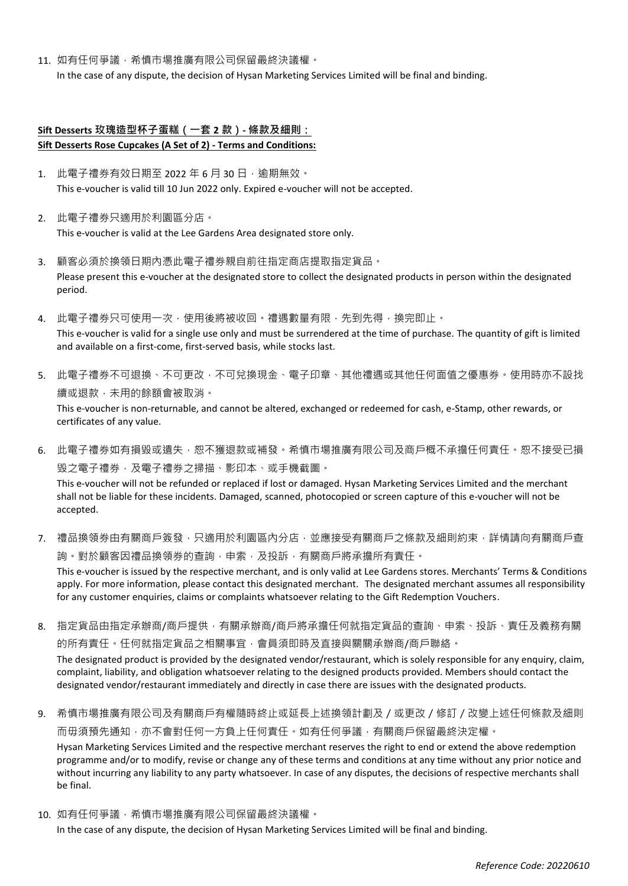11. 如有任何爭議,希慎市場推廣有限公司保留最終決議權。

In the case of any dispute, the decision of Hysan Marketing Services Limited will be final and binding.

### **Sift Desserts 玫瑰造型杯子蛋糕(一套 2 款)- 條款及細則: Sift Desserts Rose Cupcakes (A Set of 2) - Terms and Conditions:**

- 1. 此電子禮券有效日期至 2022 年 6 月 30 日, 逾期無效。 This e-voucher is valid till 10 Jun 2022 only. Expired e-voucher will not be accepted.
- 2. 此電子禮券只適用於利園區分店。 This e-voucher is valid at the Lee Gardens Area designated store only.
- 3. 顧客必須於換領日期內憑此電子禮券親自前往指定商店提取指定貨品。 Please present this e-voucher at the designated store to collect the designated products in person within the designated period.
- 4. 此電子禮券只可使用一次,使用後將被收回。禮遇數量有限,先到先得,換完即止。 This e-voucher is valid for a single use only and must be surrendered at the time of purchase. The quantity of gift is limited and available on a first-come, first-served basis, while stocks last.
- 5. 此電子禮券不可退換、不可更改,不可兌換現金、電子印章、其他禮遇或其他任何面值之優惠券。使用時亦不設找 續或退款,未用的餘額會被取消。 This e-voucher is non-returnable, and cannot be altered, exchanged or redeemed for cash, e-Stamp, other rewards, or certificates of any value.
- 6. 此電子禮券如有損毀或遺失,恕不獲退款或補發。希慎市場推廣有限公司及商戶概不承擔任何責任。恕不接受已損 毁之電子禮券,及電子禮券之掃描、影印本、或手機截圖。 This e-voucher will not be refunded or replaced if lost or damaged. Hysan Marketing Services Limited and the merchant shall not be liable for these incidents. Damaged, scanned, photocopied or screen capture of this e-voucher will not be accepted.
- 7. 禮品換領券由有關商戶簽發,只適用於利園區內分店,並應接受有關商戶之條款及細則約束,詳情請向有關商戶查 詢。對於顧客因禮品換領券的查詢,申索,及投訴,有關商戶將承擔所有責任。 This e-voucher is issued by the respective merchant, and is only valid at Lee Gardens stores. Merchants' Terms & Conditions apply. For more information, please contact this designated merchant. The designated merchant assumes all responsibility for any customer enquiries, claims or complaints whatsoever relating to the Gift Redemption Vouchers.
- 8. 指定貨品由指定承辦商/商戶提供,有關承辦商/商戶將承擔任何就指定貨品的查詢、申索、投訴、責任及義務有關 的所有責任。任何就指定貨品之相關事宜,會員須即時及直接與關關承辦商/商戶聯絡。 The designated product is provided by the designated vendor/restaurant, which is solely responsible for any enquiry, claim, complaint, liability, and obligation whatsoever relating to the designed products provided. Members should contact the designated vendor/restaurant immediately and directly in case there are issues with the designated products.
- 9. 希慎市場推廣有限公司及有關商戶有權隨時終止或延長上述換領計劃及/或更改/修訂/改變上述任何條款及細則 而毋須預先通知,亦不會對任何一方負上任何責任。如有任何爭議,有關商戶保留最終決定權。 Hysan Marketing Services Limited and the respective merchant reserves the right to end or extend the above redemption programme and/or to modify, revise or change any of these terms and conditions at any time without any prior notice and without incurring any liability to any party whatsoever. In case of any disputes, the decisions of respective merchants shall be final.
- 10. 如有任何爭議,希慎市場推廣有限公司保留最終決議權。

In the case of any dispute, the decision of Hysan Marketing Services Limited will be final and binding.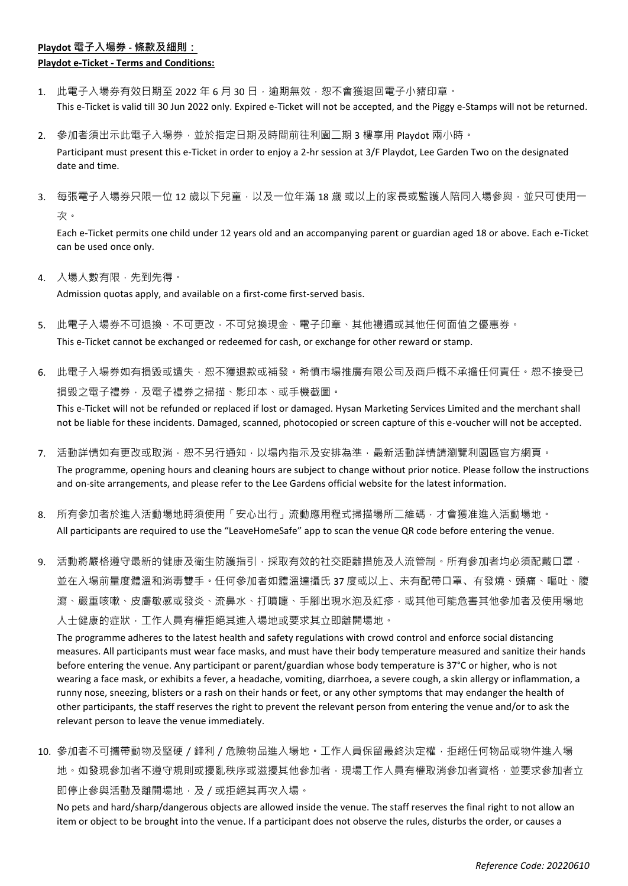## **Playdot 電子入場券 - 條款及細則: Playdot e-Ticket - Terms and Conditions:**

- 1. 此電子入場券有效日期至 2022 年 6 月 30 日,逾期無效,恕不會獲退回電子小豬印章。 This e-Ticket is valid till 30 Jun 2022 only. Expired e-Ticket will not be accepted, and the Piggy e-Stamps will not be returned.
- 2. 參加者須出示此電子入場券,並於指定日期及時間前往利園二期 3 樓享用 Playdot 兩小時。 Participant must present this e-Ticket in order to enjoy a 2-hr session at 3/F Playdot, Lee Garden Two on the designated date and time.
- 3. 每張電子入場券只限一位 12 歲以下兒童,以及一位年滿 18 歲 或以上的家長或監護人陪同入場參與,並只可使用一 次。

Each e-Ticket permits one child under 12 years old and an accompanying parent or guardian aged 18 or above. Each e-Ticket can be used once only.

4. 入場人數有限,先到先得。

Admission quotas apply, and available on a first-come first-served basis.

- 5. 此電子入場券不可退換、不可更改,不可兌換現金、電子印章、其他禮遇或其他任何面值之優惠券。 This e-Ticket cannot be exchanged or redeemed for cash, or exchange for other reward or stamp.
- 6. 此電子入場券如有損毀或遺失,恕不獲退款或補發。希慎市場推廣有限公司及商戶概不承擔任何責任。恕不接受已 損毁之電子禮券,及電子禮券之掃描、影印本、或手機截圖。 This e-Ticket will not be refunded or replaced if lost or damaged. Hysan Marketing Services Limited and the merchant shall not be liable for these incidents. Damaged, scanned, photocopied or screen capture of this e-voucher will not be accepted.
- 7. 活動詳情如有更改或取消,怼不另行通知,以場內指示及安排為準,最新活動詳情請瀏覽利園區官方網頁。 The programme, opening hours and cleaning hours are subject to change without prior notice. Please follow the instructions and on-site arrangements, and please refer to the Lee Gardens official website for the latest information.
- 8. 所有參加者於進入活動場地時須使用「安心出行」流動應用程式掃描場所二維碼,才會獲准進入活動場地。 All participants are required to use the "LeaveHomeSafe" app to scan the venue QR code before entering the venue.
- 9. 活動將嚴格遵守最新的健康及衛生防護指引,採取有效的社交距離措施及人流管制。所有參加者均必須配戴口罩, 並在入場前量度體溫和消毒雙手。任何參加者如體溫達攝氏 37 度或以上、未有配帶口罩、有發燒、頭痛、嘔吐、腹 瀉、嚴重咳嗽、皮膚敏感或發炎、流鼻水、打噴嚏、手腳出現水泡及紅疹,或其他可能危害其他參加者及使用場地 入士健康的症狀,工作人員有權拒絕其進入場地或要求其立即離開場地。

The programme adheres to the latest health and safety regulations with crowd control and enforce social distancing measures. All participants must wear face masks, and must have their body temperature measured and sanitize their hands before entering the venue. Any participant or parent/guardian whose body temperature is 37°C or higher, who is not wearing a face mask, or exhibits a fever, a headache, vomiting, diarrhoea, a severe cough, a skin allergy or inflammation, a runny nose, sneezing, blisters or a rash on their hands or feet, or any other symptoms that may endanger the health of other participants, the staff reserves the right to prevent the relevant person from entering the venue and/or to ask the relevant person to leave the venue immediately.

10. 參加者不可攜帶動物及堅硬 / 鋒利 / 危險物品進入場地。工作人員保留最終決定權,拒絕任何物品或物件進入場 地。如發現參加者不遵守規則或擾亂秩序或滋擾其他參加者,現場工作人員有權取消參加者資格,並要求參加者立 即停止參與活動及離開場地,及 / 或拒絕其再次入場。

No pets and hard/sharp/dangerous objects are allowed inside the venue. The staff reserves the final right to not allow an item or object to be brought into the venue. If a participant does not observe the rules, disturbs the order, or causes a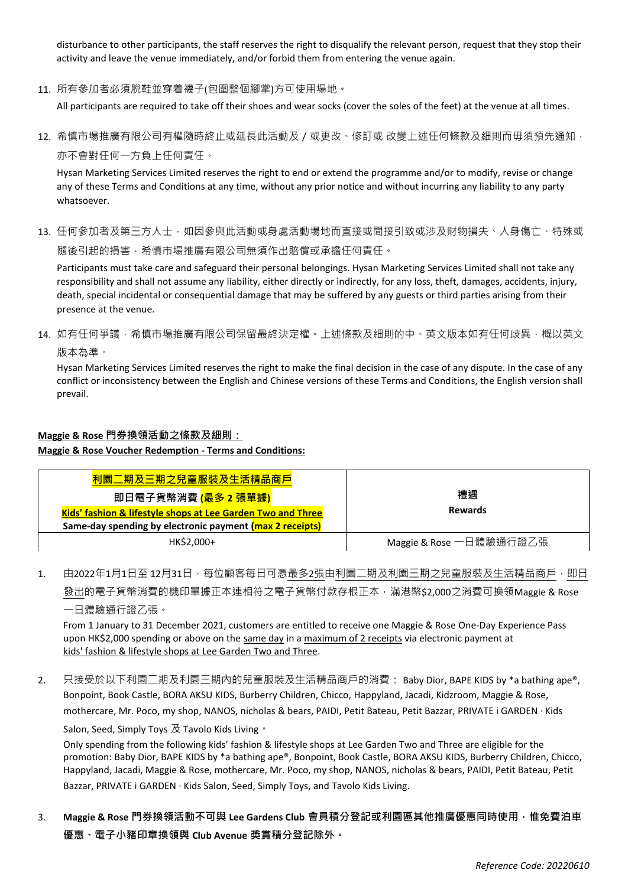disturbance to other participants, the staff reserves the right to disqualify the relevant person, request that they stop their activity and leave the venue immediately, and/or forbid them from entering the venue again.

11. 所有參加者必須脫鞋並穿着襪子(包圍整個腳掌)方可使用場地。

All participants are required to take off their shoes and wear socks (cover the soles of the feet) at the venue at all times.

12. 希慎市場推廣有限公司有權隨時終止或延長此活動及/或更改、修訂或 改變上述任何條款及細則而毋須預先通知, 亦不會對任何一方負上任何責任。

Hysan Marketing Services Limited reserves the right to end or extend the programme and/or to modify, revise or change any of these Terms and Conditions at any time, without any prior notice and without incurring any liability to any party whatsoever.

13. 任何參加者及第三方人士,如因參與此活動或身處活動場地而直接或間接引致或涉及財物損失、人身傷亡、特殊或 隨後引起的損害,希慎市場推廣有限公司無須作出賠償或承擔任何責任。

Participants must take care and safeguard their personal belongings. Hysan Marketing Services Limited shall not take any responsibility and shall not assume any liability, either directly or indirectly, for any loss, theft, damages, accidents, injury, death, special incidental or consequential damage that may be suffered by any guests or third parties arising from their presence at the venue.

14. 如有任何爭議,希慎市場推廣有限公司保留最終決定權。上述條款及細則的中、英文版本如有任何歧異,概以英文 版本為準。

Hysan Marketing Services Limited reserves the right to make the final decision in the case of any dispute. In the case of any conflict or inconsistency between the English and Chinese versions of these Terms and Conditions, the English version shall prevail.

#### **Maggie & Rose 門券換領活動之條款及細則:**

**Maggie & Rose Voucher Redemption - Terms and Conditions:**

| 利園二期及三期之兒童服裝及生活精品商戶                                                    | 禮遇                      |  |
|------------------------------------------------------------------------|-------------------------|--|
| 即日電子貨幣消費 (最多 2 張單據)                                                    |                         |  |
| <b>Kids' fashion &amp; lifestyle shops at Lee Garden Two and Three</b> | <b>Rewards</b>          |  |
| Same-day spending by electronic payment (max 2 receipts)               |                         |  |
| HK\$2,000+                                                             | Maggie & Rose 一日體驗通行證乙張 |  |

1. 由2022年1月1日至 12月31日,每位顧客每日可憑最多2張由利園二期及利園三期之兒童服裝及生活精品商戶,即日 發出的電子貨幣消費的機印單據正本連相符之電子貨幣付款存根正本,滿港幣\$2,000之消費可換領Maggie & Rose 一日體驗通行證乙張。

From 1 January to 31 December 2021, customers are entitled to receive one Maggie & Rose One-Day Experience Pass upon HK\$2,000 spending or above on the same day in a maximum of 2 receipts via electronic payment at kids' fashion & lifestyle shops at Lee Garden Two and Three.

2. 只接受於以下利園二期及利園三期內的兒童服裝及生活精品商戶的消費: Baby Dior, BAPE KIDS by \*a bathing ape®, Bonpoint, Book Castle, BORA AKSU KIDS, Burberry Children, Chicco, Happyland, Jacadi, Kidzroom, Maggie & Rose, mothercare, Mr. Poco, my shop, NANOS, nicholas & bears, PAIDI, Petit Bateau, Petit Bazzar, PRIVATE i GARDEN ‧ Kids

Salon, Seed, Simply Toys  $\overline{\mathcal{R}}$  Tavolo Kids Living  $\cdot$ 

Only spending from the following kids' fashion & lifestyle shops at Lee Garden Two and Three are eligible for the promotion: Baby Dior, BAPE KIDS by \*a bathing ape®, Bonpoint, Book Castle, BORA AKSU KIDS, Burberry Children, Chicco, Happyland, Jacadi, Maggie & Rose, mothercare, Mr. Poco, my shop, NANOS, nicholas & bears, PAIDI, Petit Bateau, Petit Bazzar, PRIVATE i GARDEN · Kids Salon, Seed, Simply Toys, and Tavolo Kids Living.

3. **Maggie & Rose 門券換領活動不可與 Lee Gardens Club 會員積分登記或利園區其他推廣優惠同時使用,惟免費泊車 優惠、電子小豬印章換領與 Club Avenue 獎賞積分登記除外。**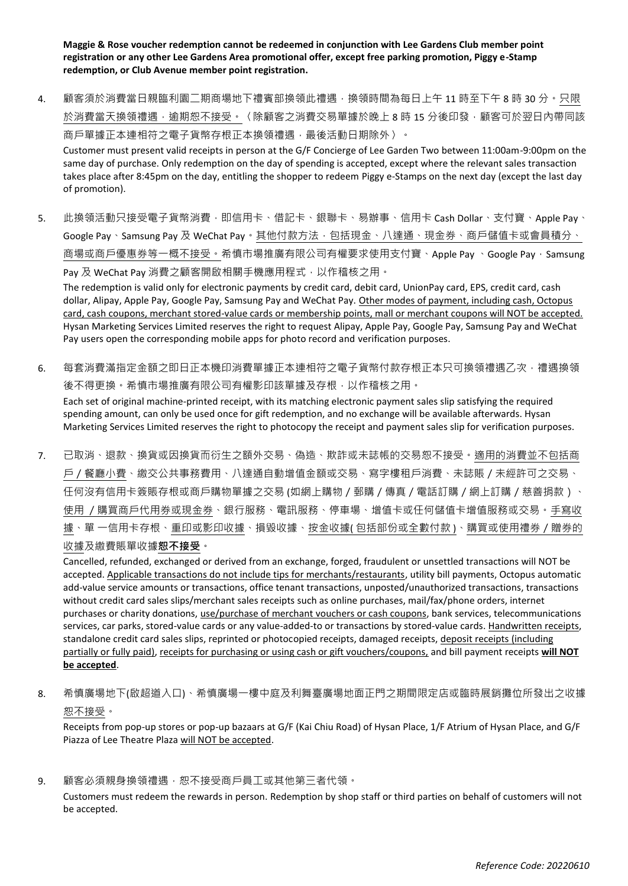**Maggie & Rose voucher redemption cannot be redeemed in conjunction with Lee Gardens Club member point registration or any other Lee Gardens Area promotional offer, except free parking promotion, Piggy e-Stamp redemption, or Club Avenue member point registration.**

4. 顧客須於消費當日親臨利園二期商場地下禮賓部換領此禮遇,換領時間為每日上午 11 時至下午 8 時 30 分。只限 於消費當天換領禮遇,逾期恕不接受。〈除顧客之消費交易單據於晚上 8 時 15 分後印發,顧客可於翌日內帶同該 商戶單據正本連相符之電子貨幣存根正本換領禮遇,最後活動日期除外〉。

Customer must present valid receipts in person at the G/F Concierge of Lee Garden Two between 11:00am-9:00pm on the same day of purchase. Only redemption on the day of spending is accepted, except where the relevant sales transaction takes place after 8:45pm on the day, entitling the shopper to redeem Piggy e-Stamps on the next day (except the last day of promotion).

5. 此換領活動只接受電子貨幣消費,即信用卡、借記卡、銀聯卡、易辦事、信用卡 Cash Dollar、支付寶、Apple Pay、 Google Pay、Samsung Pay 及 WeChat Pay。其他付款方法, 包括現金、八達通、現金券、商戶儲值卡或會員積分、 商場或商戶優惠券等一概不接受。希慎市場推廣有限公司有權要求使用支付寶、Apple Pay、Google Pay, Samsung Pay 及 WeChat Pay 消費之顧客開啟相關手機應用程式,以作稽核之用。

The redemption is valid only for electronic payments by credit card, debit card, UnionPay card, EPS, credit card, cash dollar, Alipay, Apple Pay, Google Pay, Samsung Pay and WeChat Pay. Other modes of payment, including cash, Octopus card, cash coupons, merchant stored-value cards or membership points, mall or merchant coupons will NOT be accepted. Hysan Marketing Services Limited reserves the right to request Alipay, Apple Pay, Google Pay, Samsung Pay and WeChat Pay users open the corresponding mobile apps for photo record and verification purposes.

- 6. 每套消費滿指定金額之即日正本機印消費單據正本連相符之電子貨幣付款存根正本只可換領禮遇乙次,禮遇換領 後不得更換。希慎市場推廣有限公司有權影印該單據及存根,以作稽核之用。 Each set of original machine-printed receipt, with its matching electronic payment sales slip satisfying the required spending amount, can only be used once for gift redemption, and no exchange will be available afterwards. Hysan Marketing Services Limited reserves the right to photocopy the receipt and payment sales slip for verification purposes.
- 7. 已取消、退款、換貨或因換貨而衍生之額外交易、偽造、欺詐或未誌帳的交易恕不接受。適用的消費並不包括商 戶/餐廳小費、繳交公共事務費用、八達通自動增值金額或交易、寫字樓租戶消費、未誌賬/未經許可之交易、 任何沒有信用卡簽賬存根或商戶購物單據之交易 (如網上購物/郵購/傳真/電話訂購/網上訂購/慈善捐款)、 使用 /購買商戶代用券或現金券、銀行服務、電訊服務、停車場、增值卡或任何儲值卡增值服務或交易。手寫收 據、單 一信用卡存根、重印或影印收據、損毀收據、按金收據(包括部份或全數付款)、購買或使用禮券 / 贈券的

### 收據及繳費賬單收據**恕不接受**。

Cancelled, refunded, exchanged or derived from an exchange, forged, fraudulent or unsettled transactions will NOT be accepted. Applicable transactions do not include tips for merchants/restaurants, utility bill payments, Octopus automatic add-value service amounts or transactions, office tenant transactions, unposted/unauthorized transactions, transactions without credit card sales slips/merchant sales receipts such as online purchases, mail/fax/phone orders, internet purchases or charity donations, use/purchase of merchant vouchers or cash coupons, bank services, telecommunications services, car parks, stored-value cards or any value-added-to or transactions by stored-value cards. Handwritten receipts, standalone credit card sales slips, reprinted or photocopied receipts, damaged receipts, deposit receipts (including partially or fully paid), receipts for purchasing or using cash or gift vouchers/coupons, and bill payment receipts **will NOT be accepted**.

8. 希慎廣場地下(啟超道入口)、希慎廣場一樓中庭及利舞臺廣場地面正門之期間限定店或臨時展銷攤位所發出之收據 恕不接受。

Receipts from pop-up stores or pop-up bazaars at G/F (Kai Chiu Road) of Hysan Place, 1/F Atrium of Hysan Place, and G/F Piazza of Lee Theatre Plaza will NOT be accepted.

9. 顧客必須親身換領禮遇,恕不接受商戶員工或其他第三者代領。

Customers must redeem the rewards in person. Redemption by shop staff or third parties on behalf of customers will not be accepted.